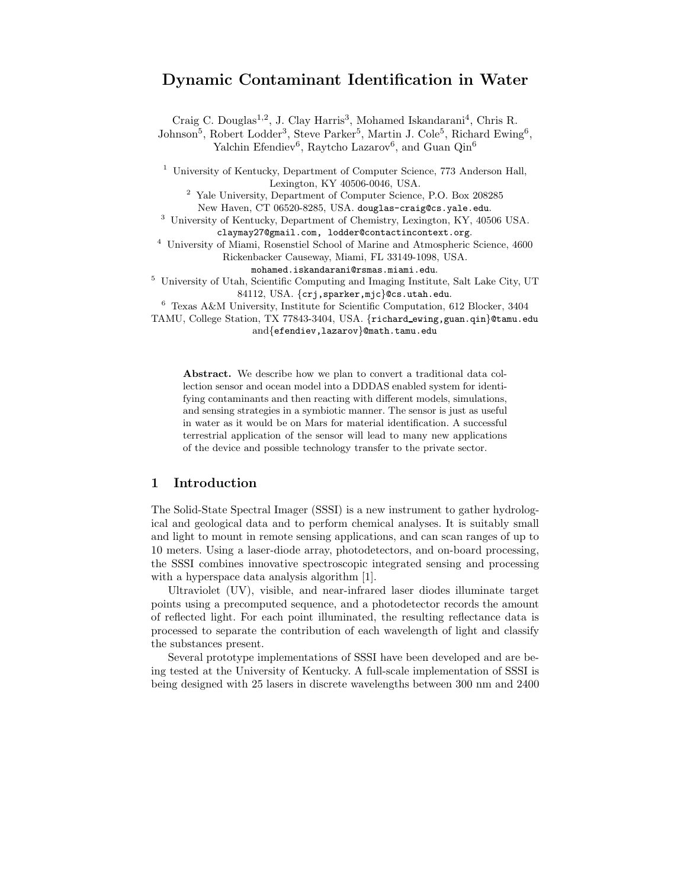# Dynamic Contaminant Identification in Water

Craig C. Douglas<sup>1,2</sup>, J. Clay Harris<sup>3</sup>, Mohamed Iskandarani<sup>4</sup>, Chris R.

Johnson<sup>5</sup>, Robert Lodder<sup>3</sup>, Steve Parker<sup>5</sup>, Martin J. Cole<sup>5</sup>, Richard Ewing<sup>6</sup>, Yalchin Efendiev<sup>6</sup>, Raytcho Lazarov<sup>6</sup>, and Guan Qin<sup>6</sup>

<sup>1</sup> University of Kentucky, Department of Computer Science, 773 Anderson Hall, Lexington, KY 40506-0046, USA.

<sup>2</sup> Yale University, Department of Computer Science, P.O. Box 208285 New Haven, CT 06520-8285, USA. douglas-craig@cs.yale.edu.

<sup>3</sup> University of Kentucky, Department of Chemistry, Lexington, KY, 40506 USA. claymay27@gmail.com, lodder@contactincontext.org.

<sup>4</sup> University of Miami, Rosenstiel School of Marine and Atmospheric Science, 4600 Rickenbacker Causeway, Miami, FL 33149-1098, USA.

mohamed.iskandarani@rsmas.miami.edu.

 $^5\,$  University of Utah, Scientific Computing and Imaging Institute, Salt Lake City, UT 84112, USA. {crj,sparker,mjc}@cs.utah.edu.

 $^6$  Texas A&M University, Institute for Scientific Computation,  $612$  Blocker,  $3404$ 

TAMU, College Station, TX 77843-3404, USA. {richard ewing,guan.qin}@tamu.edu and{efendiev,lazarov}@math.tamu.edu

Abstract. We describe how we plan to convert a traditional data collection sensor and ocean model into a DDDAS enabled system for identifying contaminants and then reacting with different models, simulations, and sensing strategies in a symbiotic manner. The sensor is just as useful in water as it would be on Mars for material identification. A successful terrestrial application of the sensor will lead to many new applications of the device and possible technology transfer to the private sector.

# 1 Introduction

The Solid-State Spectral Imager (SSSI) is a new instrument to gather hydrological and geological data and to perform chemical analyses. It is suitably small and light to mount in remote sensing applications, and can scan ranges of up to 10 meters. Using a laser-diode array, photodetectors, and on-board processing, the SSSI combines innovative spectroscopic integrated sensing and processing with a hyperspace data analysis algorithm [1].

Ultraviolet (UV), visible, and near-infrared laser diodes illuminate target points using a precomputed sequence, and a photodetector records the amount of reflected light. For each point illuminated, the resulting reflectance data is processed to separate the contribution of each wavelength of light and classify the substances present.

Several prototype implementations of SSSI have been developed and are being tested at the University of Kentucky. A full-scale implementation of SSSI is being designed with 25 lasers in discrete wavelengths between 300 nm and 2400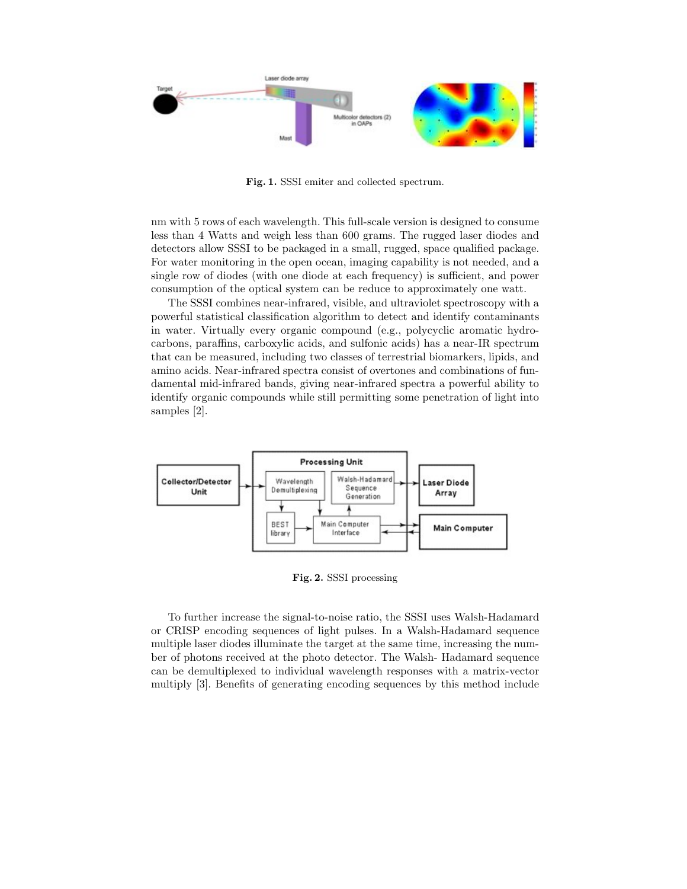

Fig. 1. SSSI emiter and collected spectrum.

nm with 5 rows of each wavelength. This full-scale version is designed to consume less than 4 Watts and weigh less than 600 grams. The rugged laser diodes and detectors allow SSSI to be packaged in a small, rugged, space qualified package. For water monitoring in the open ocean, imaging capability is not needed, and a single row of diodes (with one diode at each frequency) is sufficient, and power consumption of the optical system can be reduce to approximately one watt.

The SSSI combines near-infrared, visible, and ultraviolet spectroscopy with a powerful statistical classification algorithm to detect and identify contaminants in water. Virtually every organic compound (e.g., polycyclic aromatic hydrocarbons, paraffins, carboxylic acids, and sulfonic acids) has a near-IR spectrum that can be measured, including two classes of terrestrial biomarkers, lipids, and amino acids. Near-infrared spectra consist of overtones and combinations of fundamental mid-infrared bands, giving near-infrared spectra a powerful ability to identify organic compounds while still permitting some penetration of light into samples [2].



Fig. 2. SSSI processing

To further increase the signal-to-noise ratio, the SSSI uses Walsh-Hadamard or CRISP encoding sequences of light pulses. In a Walsh-Hadamard sequence multiple laser diodes illuminate the target at the same time, increasing the number of photons received at the photo detector. The Walsh- Hadamard sequence can be demultiplexed to individual wavelength responses with a matrix-vector multiply [3]. Benefits of generating encoding sequences by this method include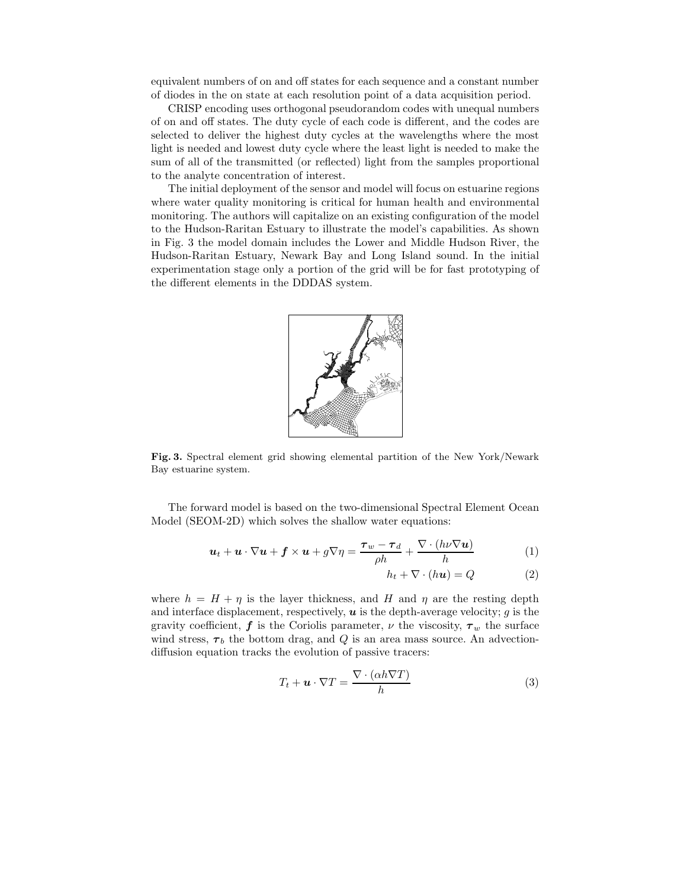equivalent numbers of on and off states for each sequence and a constant number of diodes in the on state at each resolution point of a data acquisition period.

CRISP encoding uses orthogonal pseudorandom codes with unequal numbers of on and off states. The duty cycle of each code is different, and the codes are selected to deliver the highest duty cycles at the wavelengths where the most light is needed and lowest duty cycle where the least light is needed to make the sum of all of the transmitted (or reflected) light from the samples proportional to the analyte concentration of interest.

The initial deployment of the sensor and model will focus on estuarine regions where water quality monitoring is critical for human health and environmental monitoring. The authors will capitalize on an existing configuration of the model to the Hudson-Raritan Estuary to illustrate the model's capabilities. As shown in Fig. 3 the model domain includes the Lower and Middle Hudson River, the Hudson-Raritan Estuary, Newark Bay and Long Island sound. In the initial experimentation stage only a portion of the grid will be for fast prototyping of the different elements in the DDDAS system.



Fig. 3. Spectral element grid showing elemental partition of the New York/Newark Bay estuarine system.

The forward model is based on the two-dimensional Spectral Element Ocean Model (SEOM-2D) which solves the shallow water equations:

$$
\boldsymbol{u}_t + \boldsymbol{u} \cdot \nabla \boldsymbol{u} + \boldsymbol{f} \times \boldsymbol{u} + g \nabla \eta = \frac{\boldsymbol{\tau}_w - \boldsymbol{\tau}_d}{\rho h} + \frac{\nabla \cdot (h\nu \nabla \boldsymbol{u})}{h}
$$
(1)

$$
h_t + \nabla \cdot (h\mathbf{u}) = Q \tag{2}
$$

where  $h = H + \eta$  is the layer thickness, and H and  $\eta$  are the resting depth and interface displacement, respectively,  $\boldsymbol{u}$  is the depth-average velocity;  $g$  is the gravity coefficient, f is the Coriolis parameter,  $\nu$  the viscosity,  $\tau_w$  the surface wind stress,  $\tau_b$  the bottom drag, and Q is an area mass source. An advectiondiffusion equation tracks the evolution of passive tracers:

$$
T_t + \boldsymbol{u} \cdot \nabla T = \frac{\nabla \cdot (\alpha h \nabla T)}{h}
$$
 (3)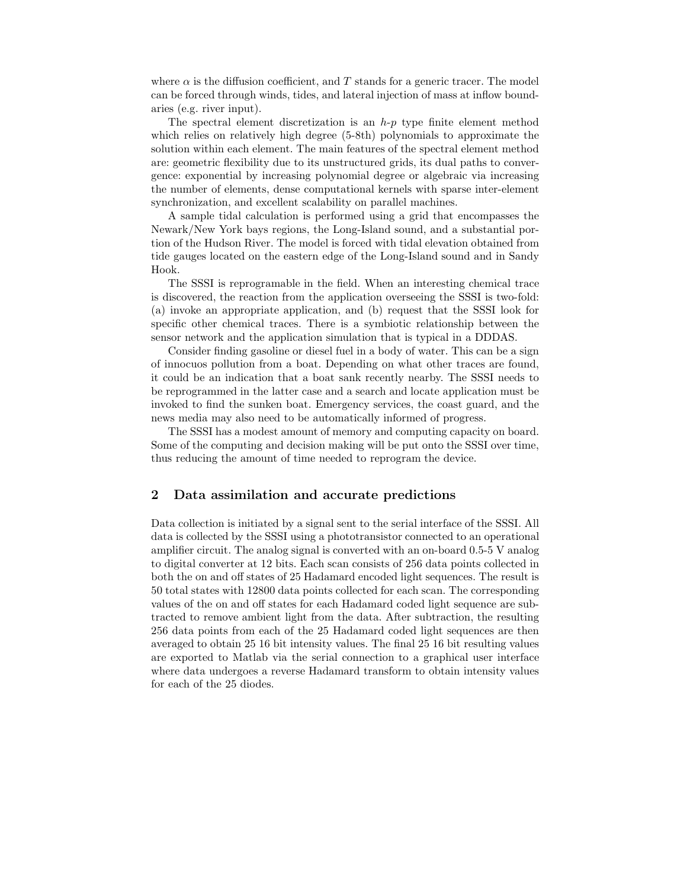where  $\alpha$  is the diffusion coefficient, and T stands for a generic tracer. The model can be forced through winds, tides, and lateral injection of mass at inflow boundaries (e.g. river input).

The spectral element discretization is an  $h-p$  type finite element method which relies on relatively high degree (5-8th) polynomials to approximate the solution within each element. The main features of the spectral element method are: geometric flexibility due to its unstructured grids, its dual paths to convergence: exponential by increasing polynomial degree or algebraic via increasing the number of elements, dense computational kernels with sparse inter-element synchronization, and excellent scalability on parallel machines.

A sample tidal calculation is performed using a grid that encompasses the Newark/New York bays regions, the Long-Island sound, and a substantial portion of the Hudson River. The model is forced with tidal elevation obtained from tide gauges located on the eastern edge of the Long-Island sound and in Sandy Hook.

The SSSI is reprogramable in the field. When an interesting chemical trace is discovered, the reaction from the application overseeing the SSSI is two-fold: (a) invoke an appropriate application, and (b) request that the SSSI look for specific other chemical traces. There is a symbiotic relationship between the sensor network and the application simulation that is typical in a DDDAS.

Consider finding gasoline or diesel fuel in a body of water. This can be a sign of innocuos pollution from a boat. Depending on what other traces are found, it could be an indication that a boat sank recently nearby. The SSSI needs to be reprogrammed in the latter case and a search and locate application must be invoked to find the sunken boat. Emergency services, the coast guard, and the news media may also need to be automatically informed of progress.

The SSSI has a modest amount of memory and computing capacity on board. Some of the computing and decision making will be put onto the SSSI over time, thus reducing the amount of time needed to reprogram the device.

## 2 Data assimilation and accurate predictions

Data collection is initiated by a signal sent to the serial interface of the SSSI. All data is collected by the SSSI using a phototransistor connected to an operational amplifier circuit. The analog signal is converted with an on-board 0.5-5 V analog to digital converter at 12 bits. Each scan consists of 256 data points collected in both the on and off states of 25 Hadamard encoded light sequences. The result is 50 total states with 12800 data points collected for each scan. The corresponding values of the on and off states for each Hadamard coded light sequence are subtracted to remove ambient light from the data. After subtraction, the resulting 256 data points from each of the 25 Hadamard coded light sequences are then averaged to obtain 25 16 bit intensity values. The final 25 16 bit resulting values are exported to Matlab via the serial connection to a graphical user interface where data undergoes a reverse Hadamard transform to obtain intensity values for each of the 25 diodes.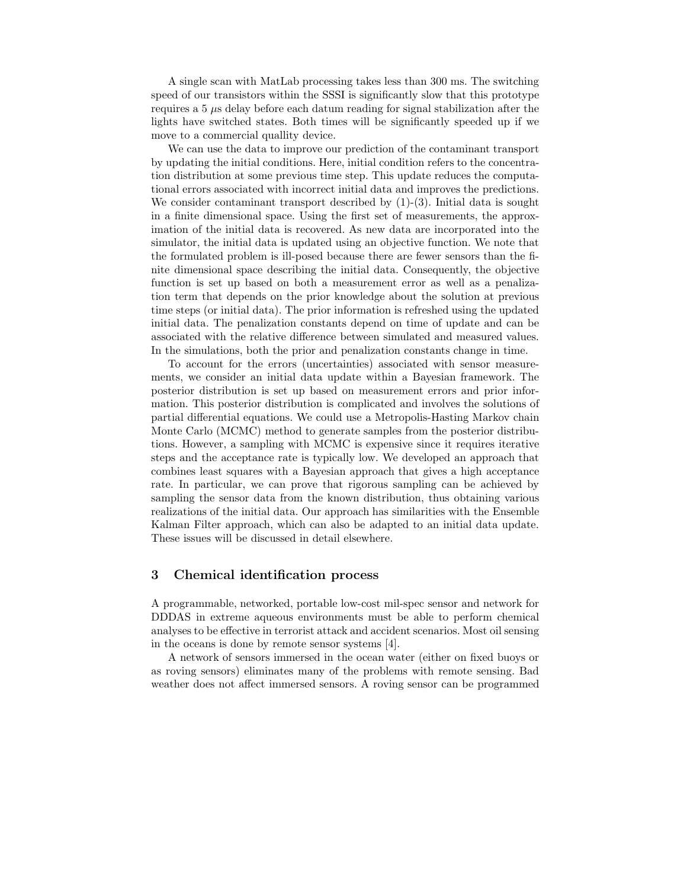A single scan with MatLab processing takes less than 300 ms. The switching speed of our transistors within the SSSI is significantly slow that this prototype requires a 5  $\mu$ s delay before each datum reading for signal stabilization after the lights have switched states. Both times will be significantly speeded up if we move to a commercial quallity device.

We can use the data to improve our prediction of the contaminant transport by updating the initial conditions. Here, initial condition refers to the concentration distribution at some previous time step. This update reduces the computational errors associated with incorrect initial data and improves the predictions. We consider contaminant transport described by  $(1)-(3)$ . Initial data is sought in a finite dimensional space. Using the first set of measurements, the approximation of the initial data is recovered. As new data are incorporated into the simulator, the initial data is updated using an objective function. We note that the formulated problem is ill-posed because there are fewer sensors than the finite dimensional space describing the initial data. Consequently, the objective function is set up based on both a measurement error as well as a penalization term that depends on the prior knowledge about the solution at previous time steps (or initial data). The prior information is refreshed using the updated initial data. The penalization constants depend on time of update and can be associated with the relative difference between simulated and measured values. In the simulations, both the prior and penalization constants change in time.

To account for the errors (uncertainties) associated with sensor measurements, we consider an initial data update within a Bayesian framework. The posterior distribution is set up based on measurement errors and prior information. This posterior distribution is complicated and involves the solutions of partial differential equations. We could use a Metropolis-Hasting Markov chain Monte Carlo (MCMC) method to generate samples from the posterior distributions. However, a sampling with MCMC is expensive since it requires iterative steps and the acceptance rate is typically low. We developed an approach that combines least squares with a Bayesian approach that gives a high acceptance rate. In particular, we can prove that rigorous sampling can be achieved by sampling the sensor data from the known distribution, thus obtaining various realizations of the initial data. Our approach has similarities with the Ensemble Kalman Filter approach, which can also be adapted to an initial data update. These issues will be discussed in detail elsewhere.

#### 3 Chemical identification process

A programmable, networked, portable low-cost mil-spec sensor and network for DDDAS in extreme aqueous environments must be able to perform chemical analyses to be effective in terrorist attack and accident scenarios. Most oil sensing in the oceans is done by remote sensor systems [4].

A network of sensors immersed in the ocean water (either on fixed buoys or as roving sensors) eliminates many of the problems with remote sensing. Bad weather does not affect immersed sensors. A roving sensor can be programmed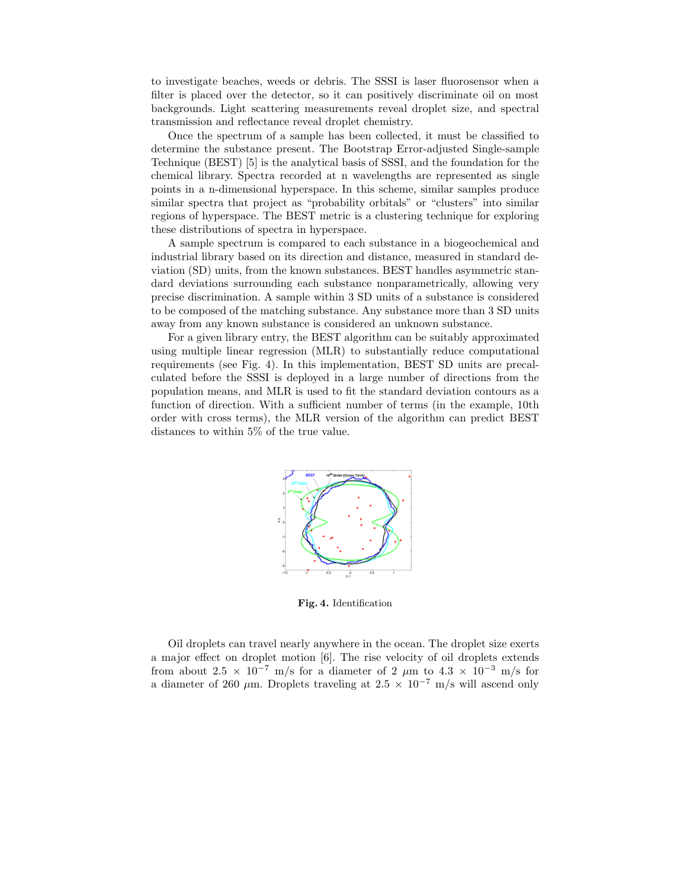to investigate beaches, weeds or debris. The SSSI is laser fluorosensor when a filter is placed over the detector, so it can positively discriminate oil on most backgrounds. Light scattering measurements reveal droplet size, and spectral transmission and reflectance reveal droplet chemistry.

Once the spectrum of a sample has been collected, it must be classified to determine the substance present. The Bootstrap Error-adjusted Single-sample Technique (BEST) [5] is the analytical basis of SSSI, and the foundation for the chemical library. Spectra recorded at n wavelengths are represented as single points in a n-dimensional hyperspace. In this scheme, similar samples produce similar spectra that project as "probability orbitals" or "clusters" into similar regions of hyperspace. The BEST metric is a clustering technique for exploring these distributions of spectra in hyperspace.

A sample spectrum is compared to each substance in a biogeochemical and industrial library based on its direction and distance, measured in standard deviation (SD) units, from the known substances. BEST handles asymmetric standard deviations surrounding each substance nonparametrically, allowing very precise discrimination. A sample within 3 SD units of a substance is considered to be composed of the matching substance. Any substance more than 3 SD units away from any known substance is considered an unknown substance.

For a given library entry, the BEST algorithm can be suitably approximated using multiple linear regression (MLR) to substantially reduce computational requirements (see Fig. 4). In this implementation, BEST SD units are precalculated before the SSSI is deployed in a large number of directions from the population means, and MLR is used to fit the standard deviation contours as a function of direction. With a sufficient number of terms (in the example, 10th order with cross terms), the MLR version of the algorithm can predict BEST distances to within 5% of the true value.



Fig. 4. Identification

Oil droplets can travel nearly anywhere in the ocean. The droplet size exerts a major effect on droplet motion [6]. The rise velocity of oil droplets extends from about 2.5 × 10<sup>-7</sup> m/s for a diameter of 2  $\mu$ m to 4.3 × 10<sup>-3</sup> m/s for a diameter of 260  $\mu$ m. Droplets traveling at 2.5 × 10<sup>-7</sup> m/s will ascend only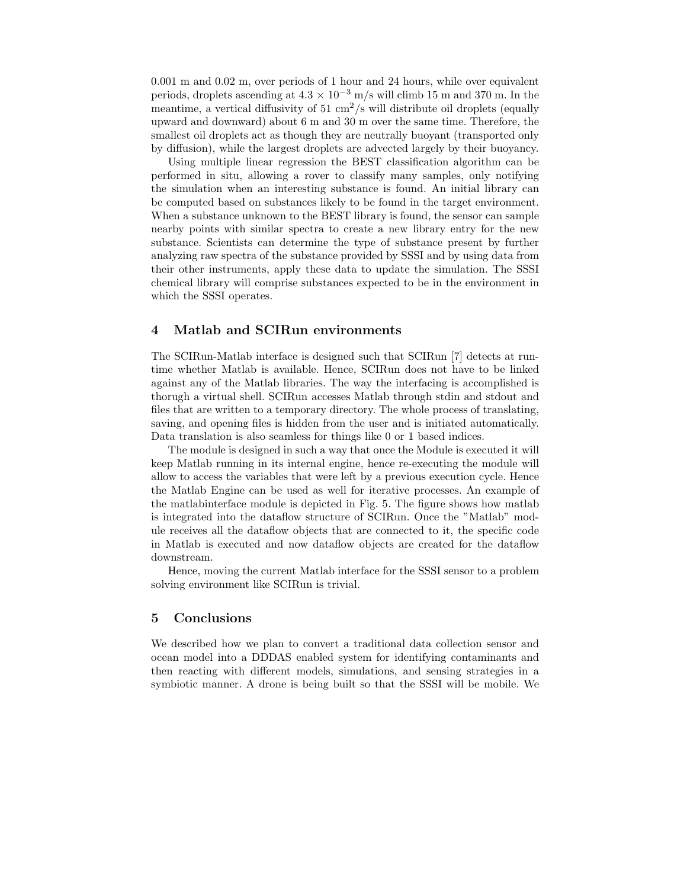0.001 m and 0.02 m, over periods of 1 hour and 24 hours, while over equivalent periods, droplets ascending at  $4.3 \times 10^{-3}$  m/s will climb 15 m and 370 m. In the meantime, a vertical diffusivity of  $51 \text{ cm}^2/\text{s}$  will distribute oil droplets (equally upward and downward) about 6 m and 30 m over the same time. Therefore, the smallest oil droplets act as though they are neutrally buoyant (transported only by diffusion), while the largest droplets are advected largely by their buoyancy.

Using multiple linear regression the BEST classification algorithm can be performed in situ, allowing a rover to classify many samples, only notifying the simulation when an interesting substance is found. An initial library can be computed based on substances likely to be found in the target environment. When a substance unknown to the BEST library is found, the sensor can sample nearby points with similar spectra to create a new library entry for the new substance. Scientists can determine the type of substance present by further analyzing raw spectra of the substance provided by SSSI and by using data from their other instruments, apply these data to update the simulation. The SSSI chemical library will comprise substances expected to be in the environment in which the SSSI operates.

## 4 Matlab and SCIRun environments

The SCIRun-Matlab interface is designed such that SCIRun [7] detects at runtime whether Matlab is available. Hence, SCIRun does not have to be linked against any of the Matlab libraries. The way the interfacing is accomplished is thorugh a virtual shell. SCIRun accesses Matlab through stdin and stdout and files that are written to a temporary directory. The whole process of translating, saving, and opening files is hidden from the user and is initiated automatically. Data translation is also seamless for things like 0 or 1 based indices.

The module is designed in such a way that once the Module is executed it will keep Matlab running in its internal engine, hence re-executing the module will allow to access the variables that were left by a previous execution cycle. Hence the Matlab Engine can be used as well for iterative processes. An example of the matlabinterface module is depicted in Fig. 5. The figure shows how matlab is integrated into the dataflow structure of SCIRun. Once the "Matlab" module receives all the dataflow objects that are connected to it, the specific code in Matlab is executed and now dataflow objects are created for the dataflow downstream.

Hence, moving the current Matlab interface for the SSSI sensor to a problem solving environment like SCIRun is trivial.

# 5 Conclusions

We described how we plan to convert a traditional data collection sensor and ocean model into a DDDAS enabled system for identifying contaminants and then reacting with different models, simulations, and sensing strategies in a symbiotic manner. A drone is being built so that the SSSI will be mobile. We